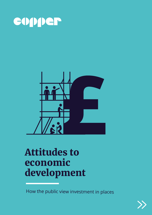



# Attitudes to economic development

How the public view investment in places

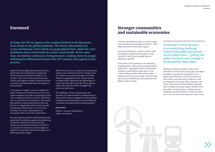## Foreword

Against this seemingly fractured backdrop, the government has championed a programme of infrastructure investment to 'level up' the country. But is there common ground across nations and regions on what is required to build successful and sustainable places for people to live and work?

In the latest in Copper's series of insights into public attitudes to infrastructure we set out to explore whether the public are playing an active role in shaping the future of places, and what is seen as a priority for investment on the ground. We wanted to understand whether there are barriers to engagement which prevent people from getting involved and, if so, how those working in economic development can encourage others to join the conversation.

We also tested the public's understanding of the government's levelling up agenda and awareness of existing investment in towns and cities. Finally, we considered the impact of COVID-19 on priorities for investment and the degree of optimism or pessimism about the prospect of it affecting positive change.

While the results of our research do vary between regions, the overall picture which emerges does not conform to preconceived ideas of a nation divided on geographical lines. Instead, we see an opportunity to galvanise the regeneration of towns and cities right across the UK by offering citizens the chance to shape strategies and visions on their terms.

The challenge to those in government and business is to demonstrate an understanding of places which inspires engagement and engenders confidence that shared goals can be achieved by individuals and organisations working together.

#### **James Gore**

*Director – Economic Development, Copper Consultancy*

At the heart of this question is an underlying challenge which many public and private sector players face – getting the public involved early enough to meaningfully shape plans.

Economic development aims to create stronger communities and sustainable economies – both objectives which most people support.

So why do attempts to transform towns, cities and regions sometimes face apathy or even resistance from the very people they are intended to benefit?

At the heart of this question is an underlying challenge which many public and private sector players face – getting the public involved early enough to meaningfully shape plans. A real understanding of what makes places where people want to live, work, study, visit and invest will increase the likelihood that investment will deliver positive results.



Building on previous Copper research into attitudes to infrastructure, we sought to establish the public's priorities for investment in the places where they live. This time we went one step further and asked which institutions had an important role to play when investing in the future. We wanted to know whether the public were confident that these bodies, whether from the public or private sector, understood local challenges and would deliver on their promises – and, if so, how soon they expected to see results.



## Stronger communities and sustainable economies

**At times the UK can appear to be a nation divided on the big issues, from Brexit to the global pandemic. The Brexit referendum saw Leave and Remain voters divide on geographical lines, while the 2020 lockdowns have revived talk of a north-south divide. At the same time, devolution continues to bring decision-making closer to people, widening the differences between the UK's nations and regions in the process.**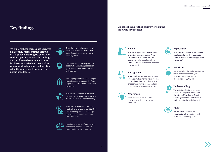

**Vision**

The starting point for regeneration projects is a guiding vision. Were people aware of the existence of such a vision for the place where they live, and had they been involved in shaping it?



## **Engagement**

What would encourage people to get involved in shaping the vision for the place where they live? What type of engagement would appeal and just how involved do they want to be?



## **Awareness**

Were people aware of recent investment in the places where they live?

## **Expectation**

How soon did people expect so see results? And were they optimistic about investment delivering positive outcomes?



## **Priorities**

We asked what the highest priorities for investment should be, and whether these priorities had changed since COVID-19.



## **Understanding**

We tested understanding in two ways. Did the public understand the intent of 'levelling up'? And was the government perceived as understanding local challenges?



### **Roles**

We wanted to know which organisations the public looked to for investment in places.



**We set out explore the public's views on the following key themes:**



## Key findings

**To explore these themes, we surveyed a nationally representative sample of 2,038 people during October 2020. In this report we analyse the findings and put forward recommendations for those interested and involved in economic development, and identify what they can learn from what the public have told us.** 



O



There is a low-level awareness of plans and visions for places, with 27% of people feeling involved in

shaping these

COVID-19 has made people more pessimistic about the prospect of government investment making

a difference



76% of people could be encouraged to get involved in shaping the future of places - but they want to do so on their terms

Awareness of existing investment in places is low – and those that are aware expect to see results quickly



Priorities for investment remain relatively unchanged since COVID-19 - with housing, renewable energy, and waste and recycling deemed most important



Levelling up means different things to different people – and could therefore be hard to measure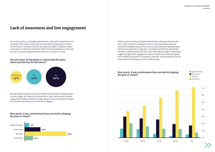

Across the country, our findings demonstrate a clear lack of awareness from the public of the opportunity to get involved with local planning or visions for the future in the place they live. We asked the public if they were aware of any plans or visions for the future. More than half answered no, with only just over a quarter saying they were aware of a local plan or vision.

We also asked the public how much involvement they had in shaping a plan or vision. Again, the majority said they had no input, with around a quarter saying they had been involved. Younger people were more likely to be aware and involved, with those over 55 the least engaged.

While a quarter of those surveyed maintain that nothing would persuade them to get involved in shaping the future of the place where they live, many felt that digital tools such as online surveys and email questionnaires would encourage them to take part. A minority wanted to be significantly involved in shaping plans, with just under half preferring slight involvement, suggesting 'light touch' engagement options should be provided alongside more traditional long-form consultation materials, a theme picked up by the Government's Planning for the Future White Paper.

## Lack of awareness and low engagement











### **Are you aware of any plans or visions that the place where you live has for the future?**

### **How much, if any, involvement have you had in shaping the plan or vision?**

### **How much, if any, involvement have you had in shaping the plan or vision?**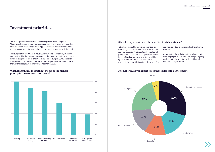## Investment priorities

The public prioritised investment in housing above all other options. There was also clear support for renewable energy and waste and recycling facilities, reinforcing findings from Copper's previous research which found that projects responding to the climate emergency resonated with the public.

This support for investment in housing, renewables and recycling remains undiminished by the coronavirus pandemic, but roads and rail are noticeably lower on the public's list of priorities compared to our pre-COVID research (see next section). This could be due to the changes that have taken place in the way that people work and travel since March 2020.



### What, if anything, do you think should be the highest **When, if ever, do you expect to see the results of this investment? priority for government investment?**

## **When do they expect to see the benefits of this investment?**

Not only do the public have clear priorities for where they want investment to be made, there is also an expectation that results will be delivered quickly. Over 40 per cent of people expect to see the benefits of government investment within a year. Not only is there an expectation that projects deliver tangible benefits – these benefits

- are also expected to be realised in the relatively short term.
- As a result of these findings, those charged with investing in places face a dual challenge: aligning projects with the priorities of the public and demonstrating results fast.



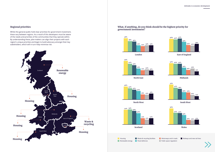



**South West**

Whilst the general public hold clear priorities for government investment, these vary between regions. As a result of this developers must be aware of the needs and priorities of the communities that they operate within. By understanding these, plan-makers can align their projects with each region's unique priorities and begin to build advocacy amongst their key stakeholders, which will in turn help minimise risk.





**Midlands**







### **Regional priorities What, if anything, do you think should be the highest priority for government investment?**



**Motorways and A roads Public space regulation** 

**Railways and new rail lines**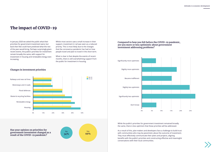



## <span id="page-6-0"></span>The impact of COVID-19

In January 2020 we asked the public what their priorities for government investment were, but back then few could have predicted what the rest of the year would bring. Perhaps surprisingly given recent events, the public's priorities for investment remain broadly the same, with support for investment in housing and renewable energy even increasing.

Whilst most sectors saw a small increase in their support, investment in rail was seen as a reduced priority. This is most likely due to the changes that the coronavirus pandemic has had on how people travel and plan to travel in the short term.

What is clear is that despite the events of recent months, there is still overwhelming support from the public for investment in housing.



**Has your opinion on priorities for government investment changed as a result of the COVID-19 pandemic?**





While the public's priorities for government investment remained broadly the same, there is less optimism that these priorities will be addressed.

As a result of this, plan-makers and developers face a challenge to build trust with communities who may be pessimistic about the outcome of investment. They must effectively communicate their plans and projects, aligning benefits with the public's priorities and constructing effective and meaningful conversations with their local communities.

### **Compared to how you felt before the COVID-19 pandemic, are you more or less optimistic about government investment addressing problems?**

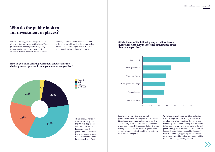

## Who do the public look to for investment in places?

Our research suggests that the public have clear priorities for investment in places. These priorities have been largely unchanged by the coronavirus pandemic. However, it is also clear that the public do not believe that

central government alone holds the answer to 'levelling up', with varying views on whether local challenges and opportunities are fully understood in Whitehall and Westminster.

> Very well **Well Poorly Very** poorly

These findings were not consistent throughout the UK, with 30 per cent of those in the South East saying that the government understood them, compared to fewer than 20 per cent of those living in the North West.

### **How do you think central government understands the challenges and opportunities in your area where you live?**



government's understanding of the local context, it is still seen as an important source of funding – second only to local authorities, and ahead of private businesses. This suggests that partnership working between central and local government will be positively received, combining investment funds with local expertise.

While local councils were identified as having the most important role to play in the future development of communities, the results also show the public's understanding that this will be influenced by a variety of organisations. Central government, private businesses, Local Enterprise Partnerships and other regional bodies are all seen as influential, suggesting a collaborative process across public and private sectors will be most effective in generating support.



**Which, if any, of the following do you believe has an important role to play in investing in the future of the place where you live?**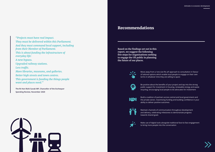## Recommendations

**Based on the findings set out in this report, we suggest the following five steps for organisations seeking to engage the UK public in planning the future of our places.** 



Move away from a 'one size fits all' approach to consultation in favour of tailored options which enable local people to engage on their own terms in whatever time they are willing to spare



Be positive about the benefits of your project and tap into the strong public support for investment in housing, renewable energy and waste recycling, encouraging local people to be advocates for investment



Build a coalition of partners across central and local government and the private sector, maximising funding and building confidence in your ability to deliver positive outcomes



Maintain channels of communication throughout development and delivery, celebrating milestones to demonstrate progress towards shared goals



Make use of digital tools alongside traditional face-to-face engagement to bring more people into the conversation

<span id="page-8-0"></span>*"Projects must have real impact. They must be delivered within this Parliament. And they must command local support, including from their Member of Parliament. This is about funding the infrastructure of everyday life: A new bypass. Upgraded railway stations. Less traffic. More libraries, museums, and galleries. Better high streets and town centres. This government is funding the things people want and places need."*

**The Rt Hon Rishi Sunak MP, Chancellor of the Exchequer Spending Review, November 2020**